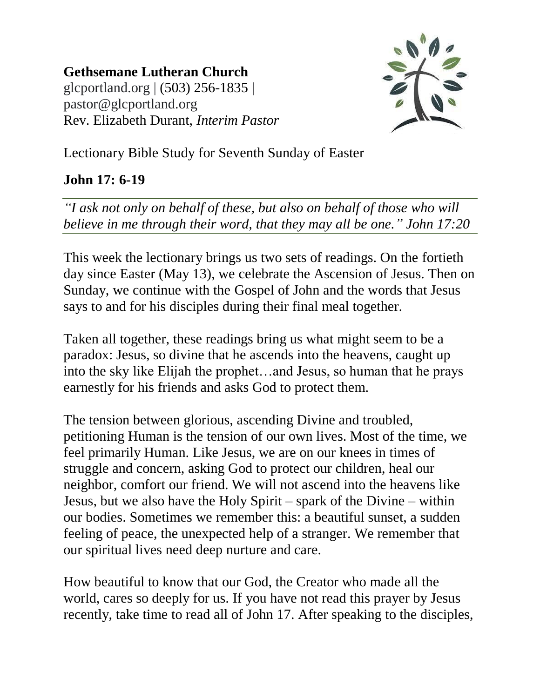**Gethsemane Lutheran Church** glcportland.org | (503) 256-1835 | pastor@glcportland.org Rev. Elizabeth Durant, *Interim Pastor*



Lectionary Bible Study for Seventh Sunday of Easter

## **John 17: 6-19**

*"I ask not only on behalf of these, but also on behalf of those who will believe in me through their word, that they may all be one." John 17:20*

This week the lectionary brings us two sets of readings. On the fortieth day since Easter (May 13), we celebrate the Ascension of Jesus. Then on Sunday, we continue with the Gospel of John and the words that Jesus says to and for his disciples during their final meal together.

Taken all together, these readings bring us what might seem to be a paradox: Jesus, so divine that he ascends into the heavens, caught up into the sky like Elijah the prophet…and Jesus, so human that he prays earnestly for his friends and asks God to protect them.

The tension between glorious, ascending Divine and troubled, petitioning Human is the tension of our own lives. Most of the time, we feel primarily Human. Like Jesus, we are on our knees in times of struggle and concern, asking God to protect our children, heal our neighbor, comfort our friend. We will not ascend into the heavens like Jesus, but we also have the Holy Spirit – spark of the Divine – within our bodies. Sometimes we remember this: a beautiful sunset, a sudden feeling of peace, the unexpected help of a stranger. We remember that our spiritual lives need deep nurture and care.

How beautiful to know that our God, the Creator who made all the world, cares so deeply for us. If you have not read this prayer by Jesus recently, take time to read all of John 17. After speaking to the disciples,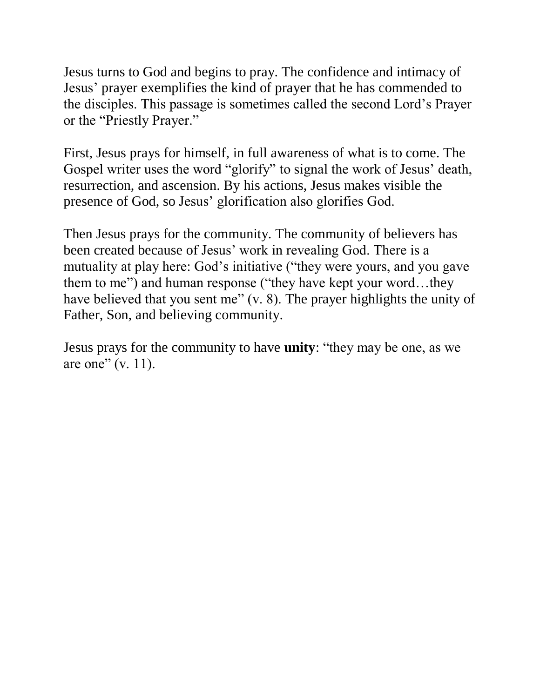Jesus turns to God and begins to pray. The confidence and intimacy of Jesus' prayer exemplifies the kind of prayer that he has commended to the disciples. This passage is sometimes called the second Lord's Prayer or the "Priestly Prayer."

First, Jesus prays for himself, in full awareness of what is to come. The Gospel writer uses the word "glorify" to signal the work of Jesus' death, resurrection, and ascension. By his actions, Jesus makes visible the presence of God, so Jesus' glorification also glorifies God.

Then Jesus prays for the community. The community of believers has been created because of Jesus' work in revealing God. There is a mutuality at play here: God's initiative ("they were yours, and you gave them to me") and human response ("they have kept your word…they have believed that you sent me" (v. 8). The prayer highlights the unity of Father, Son, and believing community.

Jesus prays for the community to have **unity**: "they may be one, as we are one"  $(v. 11)$ .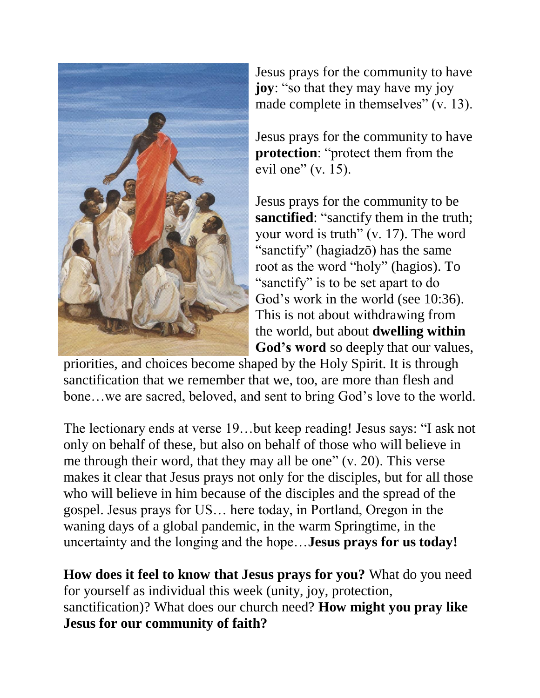

Jesus prays for the community to have **joy**: "so that they may have my joy made complete in themselves" (v. 13).

Jesus prays for the community to have **protection**: "protect them from the evil one"  $(v. 15)$ .

Jesus prays for the community to be **sanctified**: "sanctify them in the truth; your word is truth" (v. 17). The word "sanctify" (hagiadzō) has the same root as the word "holy" (hagios). To "sanctify" is to be set apart to do God's work in the world (see 10:36). This is not about withdrawing from the world, but about **dwelling within God's word** so deeply that our values,

priorities, and choices become shaped by the Holy Spirit. It is through sanctification that we remember that we, too, are more than flesh and bone…we are sacred, beloved, and sent to bring God's love to the world.

The lectionary ends at verse 19…but keep reading! Jesus says: "I ask not only on behalf of these, but also on behalf of those who will believe in me through their word, that they may all be one" (v. 20). This verse makes it clear that Jesus prays not only for the disciples, but for all those who will believe in him because of the disciples and the spread of the gospel. Jesus prays for US… here today, in Portland, Oregon in the waning days of a global pandemic, in the warm Springtime, in the uncertainty and the longing and the hope…**Jesus prays for us today!**

**How does it feel to know that Jesus prays for you?** What do you need for yourself as individual this week (unity, joy, protection, sanctification)? What does our church need? **How might you pray like Jesus for our community of faith?**